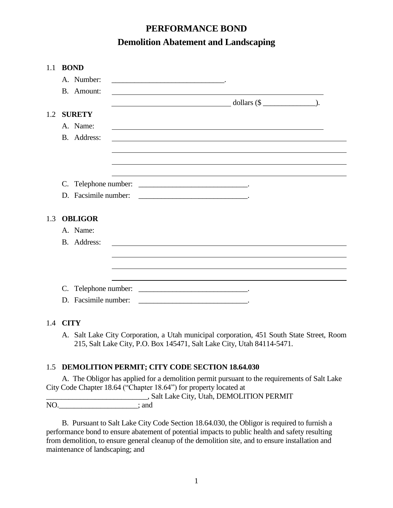# **PERFORMANCE BOND Demolition Abatement and Landscaping**

| 1.1 | <b>BOND</b>          |                                                                                                                                                                  |
|-----|----------------------|------------------------------------------------------------------------------------------------------------------------------------------------------------------|
|     | A. Number:           | <u> 1989 - Johann Barbara, martxa alemaniar arg</u>                                                                                                              |
|     | B. Amount:           |                                                                                                                                                                  |
|     |                      | $dollars (\$ $)$                                                                                                                                                 |
|     | 1.2 SURETY           |                                                                                                                                                                  |
|     | A. Name:             |                                                                                                                                                                  |
|     | B. Address:          |                                                                                                                                                                  |
|     |                      |                                                                                                                                                                  |
|     |                      |                                                                                                                                                                  |
|     |                      |                                                                                                                                                                  |
|     |                      |                                                                                                                                                                  |
|     | D. Facsimile number: | <u> 1990 - Johann John Stein, markin fan it ferstjer fan it ferstjer fan it ferstjer fan it ferstjer fan it fers</u>                                             |
|     |                      |                                                                                                                                                                  |
| 1.3 | <b>OBLIGOR</b>       |                                                                                                                                                                  |
|     | A. Name:             |                                                                                                                                                                  |
|     | B. Address:          |                                                                                                                                                                  |
|     |                      |                                                                                                                                                                  |
|     |                      |                                                                                                                                                                  |
|     |                      |                                                                                                                                                                  |
|     |                      |                                                                                                                                                                  |
|     | D. Facsimile number: |                                                                                                                                                                  |
|     |                      |                                                                                                                                                                  |
|     | 1.4 <b>CITY</b>      |                                                                                                                                                                  |
|     | А.                   | Salt Lake City Corporation, a Utah municipal corporation, 451 South State Street, Room<br>215, Salt Lake City, P.O. Box 145471, Salt Lake City, Utah 84114-5471. |
|     |                      |                                                                                                                                                                  |
| 1.5 |                      | <b>DEMOLITION PERMIT; CITY CODE SECTION 18.64.030</b>                                                                                                            |
|     |                      | A. The Obligor has applied for a demolition permit pursuant to the requirements of Salt Lake                                                                     |
|     |                      | City Code Chapter 18.64 ("Chapter 18.64") for property located at                                                                                                |

\_\_\_\_\_\_\_\_\_\_\_\_\_\_\_\_\_\_\_\_\_\_\_\_\_\_\_, Salt Lake City, Utah, DEMOLITION PERMIT NO.\_\_\_\_\_\_\_\_\_\_\_\_\_\_\_\_\_\_\_\_\_; and

B. Pursuant to Salt Lake City Code Section 18.64.030, the Obligor is required to furnish a performance bond to ensure abatement of potential impacts to public health and safety resulting from demolition, to ensure general cleanup of the demolition site, and to ensure installation and maintenance of landscaping; and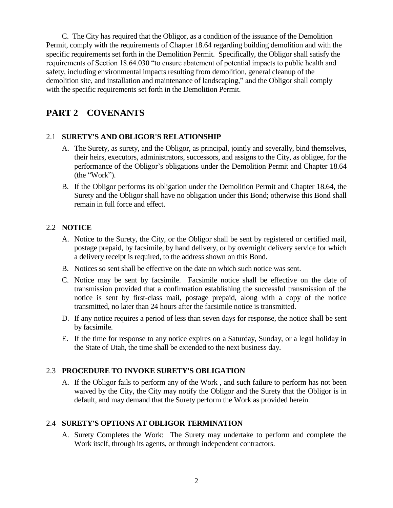C. The City has required that the Obligor, as a condition of the issuance of the Demolition Permit, comply with the requirements of Chapter 18.64 regarding building demolition and with the specific requirements set forth in the Demolition Permit. Specifically, the Obligor shall satisfy the requirements of Section 18.64.030 "to ensure abatement of potential impacts to public health and safety, including environmental impacts resulting from demolition, general cleanup of the demolition site, and installation and maintenance of landscaping," and the Obligor shall comply with the specific requirements set forth in the Demolition Permit.

# **PART 2 COVENANTS**

#### 2.1 **SURETY'S AND OBLIGOR'S RELATIONSHIP**

- A. The Surety, as surety, and the Obligor, as principal, jointly and severally, bind themselves, their heirs, executors, administrators, successors, and assigns to the City, as obligee, for the performance of the Obligor's obligations under the Demolition Permit and Chapter 18.64 (the "Work").
- B. If the Obligor performs its obligation under the Demolition Permit and Chapter 18.64, the Surety and the Obligor shall have no obligation under this Bond; otherwise this Bond shall remain in full force and effect.

#### 2.2 **NOTICE**

- A. Notice to the Surety, the City, or the Obligor shall be sent by registered or certified mail, postage prepaid, by facsimile, by hand delivery, or by overnight delivery service for which a delivery receipt is required, to the address shown on this Bond.
- B. Notices so sent shall be effective on the date on which such notice was sent.
- C. Notice may be sent by facsimile. Facsimile notice shall be effective on the date of transmission provided that a confirmation establishing the successful transmission of the notice is sent by first-class mail, postage prepaid, along with a copy of the notice transmitted, no later than 24 hours after the facsimile notice is transmitted.
- D. If any notice requires a period of less than seven days for response, the notice shall be sent by facsimile.
- E. If the time for response to any notice expires on a Saturday, Sunday, or a legal holiday in the State of Utah, the time shall be extended to the next business day.

## 2.3 **PROCEDURE TO INVOKE SURETY'S OBLIGATION**

A. If the Obligor fails to perform any of the Work , and such failure to perform has not been waived by the City, the City may notify the Obligor and the Surety that the Obligor is in default, and may demand that the Surety perform the Work as provided herein.

#### 2.4 **SURETY'S OPTIONS AT OBLIGOR TERMINATION**

 A. Surety Completes the Work: The Surety may undertake to perform and complete the Work itself, through its agents, or through independent contractors.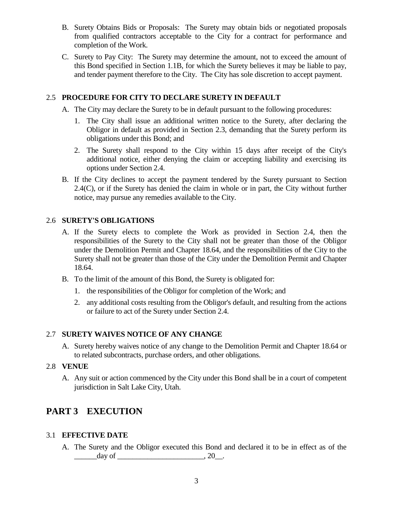- B. Surety Obtains Bids or Proposals: The Surety may obtain bids or negotiated proposals from qualified contractors acceptable to the City for a contract for performance and completion of the Work.
- C. Surety to Pay City: The Surety may determine the amount, not to exceed the amount of this Bond specified in Section 1.1B, for which the Surety believes it may be liable to pay, and tender payment therefore to the City. The City has sole discretion to accept payment.

## 2.5 **PROCEDURE FOR CITY TO DECLARE SURETY IN DEFAULT**

- A. The City may declare the Surety to be in default pursuant to the following procedures:
	- 1. The City shall issue an additional written notice to the Surety, after declaring the Obligor in default as provided in Section 2.3, demanding that the Surety perform its obligations under this Bond; and
	- 2. The Surety shall respond to the City within 15 days after receipt of the City's additional notice, either denying the claim or accepting liability and exercising its options under Section 2.4.
- B. If the City declines to accept the payment tendered by the Surety pursuant to Section 2.4(C), or if the Surety has denied the claim in whole or in part, the City without further notice, may pursue any remedies available to the City.

## 2.6 **SURETY'S OBLIGATIONS**

- A. If the Surety elects to complete the Work as provided in Section 2.4, then the responsibilities of the Surety to the City shall not be greater than those of the Obligor under the Demolition Permit and Chapter 18.64, and the responsibilities of the City to the Surety shall not be greater than those of the City under the Demolition Permit and Chapter 18.64.
- B. To the limit of the amount of this Bond, the Surety is obligated for:
	- 1. the responsibilities of the Obligor for completion of the Work; and
	- 2. any additional costs resulting from the Obligor's default, and resulting from the actions or failure to act of the Surety under Section 2.4.

## 2.7 **SURETY WAIVES NOTICE OF ANY CHANGE**

A. Surety hereby waives notice of any change to the Demolition Permit and Chapter 18.64 or to related subcontracts, purchase orders, and other obligations.

## 2.8 **VENUE**

A. Any suit or action commenced by the City under this Bond shall be in a court of competent jurisdiction in Salt Lake City, Utah.

# **PART 3 EXECUTION**

## 3.1 **EFFECTIVE DATE**

A. The Surety and the Obligor executed this Bond and declared it to be in effect as of the  $\frac{day}{}$  of  $\frac{20}{x}$ .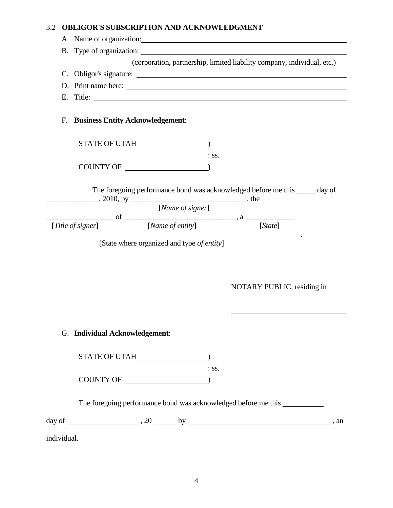# 3.2 **OBLIGOR'S SUBSCRIPTION AND ACKNOWLEDGMENT**

|             |                                                            |  |                  |                  | A. Name of organization:                                                                                                             |  |  |  |
|-------------|------------------------------------------------------------|--|------------------|------------------|--------------------------------------------------------------------------------------------------------------------------------------|--|--|--|
|             | B. Type of organization:                                   |  |                  |                  |                                                                                                                                      |  |  |  |
|             |                                                            |  |                  |                  | (corporation, partnership, limited liability company, individual, etc.)                                                              |  |  |  |
|             |                                                            |  |                  |                  |                                                                                                                                      |  |  |  |
|             |                                                            |  |                  |                  |                                                                                                                                      |  |  |  |
|             |                                                            |  |                  |                  | E. Title:                                                                                                                            |  |  |  |
| F.          | <b>Business Entity Acknowledgement:</b>                    |  |                  |                  |                                                                                                                                      |  |  |  |
|             |                                                            |  |                  |                  |                                                                                                                                      |  |  |  |
|             |                                                            |  |                  | $:$ SS.          |                                                                                                                                      |  |  |  |
|             |                                                            |  |                  |                  |                                                                                                                                      |  |  |  |
|             | $\frac{1}{2010, \text{ by } \underline{\qquad}$ , 2010, by |  | [Name of signer] |                  | The foregoing performance bond was acknowledged before me this _____ day of<br>$[Title of signer]$ of $[Name of entity]$ , a [State] |  |  |  |
|             | [State where organized and type of entity]                 |  |                  |                  |                                                                                                                                      |  |  |  |
|             |                                                            |  |                  |                  | NOTARY PUBLIC, residing in                                                                                                           |  |  |  |
|             | G. Individual Acknowledgement:                             |  |                  |                  |                                                                                                                                      |  |  |  |
|             |                                                            |  |                  |                  |                                                                                                                                      |  |  |  |
|             |                                                            |  |                  | $\therefore$ SS. |                                                                                                                                      |  |  |  |
|             |                                                            |  |                  |                  | The foregoing performance bond was acknowledged before me this                                                                       |  |  |  |
|             |                                                            |  |                  |                  |                                                                                                                                      |  |  |  |
| individual. |                                                            |  |                  |                  |                                                                                                                                      |  |  |  |